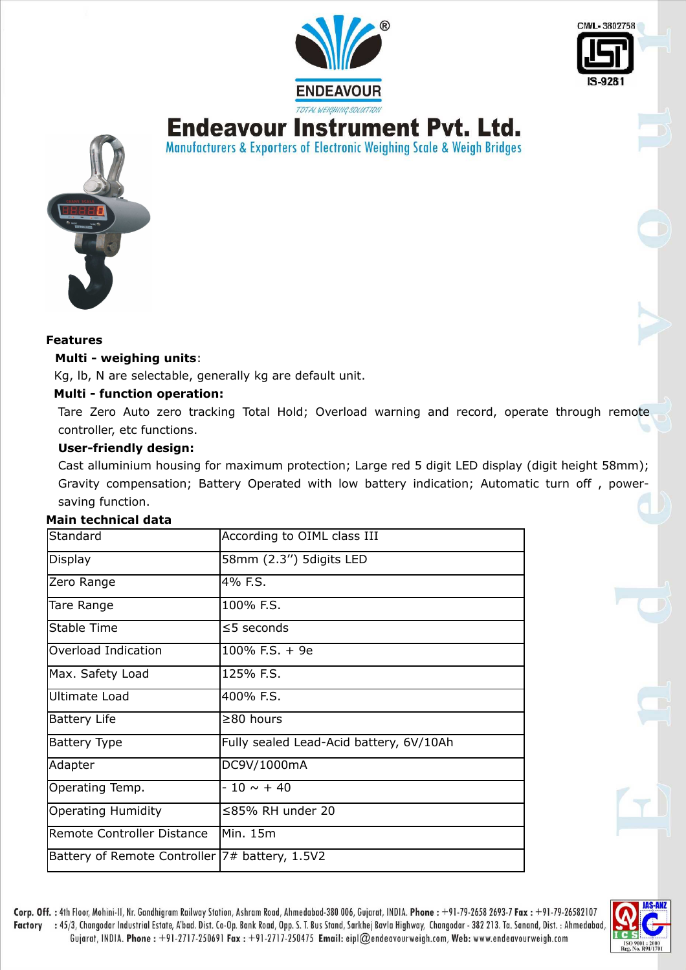

Manufacturers & Exporters of Electronic Weighing Scale & Weigh Bridges





#### **Features**

#### **Multi - weighing units**:

Kg, lb, N are selectable, generally kg are default unit.

#### **Multi - function operation:**

Tare Zero Auto zero tracking Total Hold; Overload warning and record, operate through remote controller, etc functions.

### **User-friendly design:**

Cast alluminium housing for maximum protection; Large red 5 digit LED display (digit height 58mm); Gravity compensation; Battery Operated with low battery indication; Automatic turn off , powersaving function.

#### **Main technical data**

| Standard                                       | According to OIML class III             |
|------------------------------------------------|-----------------------------------------|
| Display                                        | 58mm (2.3") 5digits LED                 |
| Zero Range                                     | 4% F.S.                                 |
| Tare Range                                     | 100% F.S.                               |
| <b>Stable Time</b>                             | $\leq$ 5 seconds                        |
| Overload Indication                            | $100\%$ F.S. + 9e                       |
| Max. Safety Load                               | 125% F.S.                               |
| <b>Ultimate Load</b>                           | 400% F.S.                               |
| <b>Battery Life</b>                            | $\geq$ 80 hours                         |
| Battery Type                                   | Fully sealed Lead-Acid battery, 6V/10Ah |
| Adapter                                        | DC9V/1000mA                             |
| Operating Temp.                                | $-10 \sim +40$                          |
| <b>Operating Humidity</b>                      | $\leq$ 85% RH under 20                  |
| Remote Controller Distance                     | lMin. 15m                               |
| Battery of Remote Controller 7# battery, 1.5V2 |                                         |